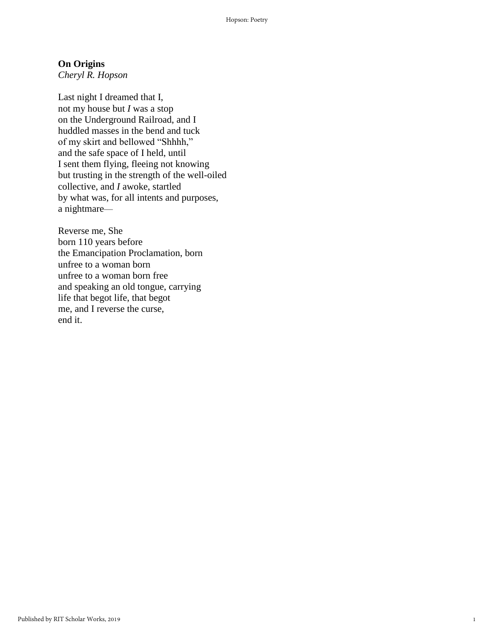## **On Origins**

*Cheryl R. Hopson*

Last night I dreamed that I, not my house but *I* was a stop on the Underground Railroad, and I huddled masses in the bend and tuck of my skirt and bellowed "Shhhh," and the safe space of I held, until I sent them flying, fleeing not knowing but trusting in the strength of the well-oiled collective, and *I* awoke, startled by what was, for all intents and purposes, a nightmare—

Reverse me, She born 110 years before the Emancipation Proclamation, born unfree to a woman born unfree to a woman born free and speaking an old tongue, carrying life that begot life, that begot me, and I reverse the curse, end it.